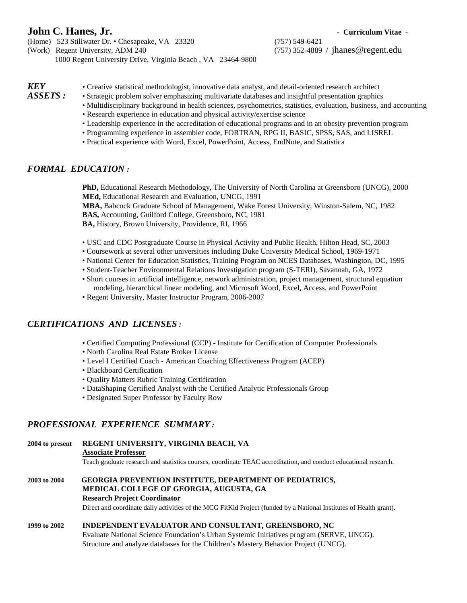# **John C. Hanes, Jr.**  $\qquad \qquad$  **Curriculum** Vitae -

(Home) 523 Stillwater Dr. • Chesapeake, VA 23320 (757) 549-6421

(Work) Regent University, ADM 240 (757) 352-4889 / [jhanes@regent.edu](mailto:jhanes@mail.mcg.edu) 1000 Regent University Drive, Virginia Beach , VA 23464-9800

# *KEY* • Creative statistical methodologist, innovative data analyst, and detail-oriented research architect *ASSETS*: • Strategic problem solver emphasizing multivariate databases and insightful presentation graphics

- *ASSETS :* Strategic problem solver emphasizing multivariate databases and insightful presentation graphics
- Multidisciplinary background in health sciences, psychometrics, statistics, evaluation, business, and accounting
- Research experience in education and physical activity/exercise science
- Leadership experience in the accreditation of educational programs and in an obesity prevention program
- Programming experience in assembler code, FORTRAN, RPG II, BASIC, SPSS, SAS, and LISREL
- Practical experience with Word, Excel, PowerPoint, Access, EndNote, and Statistica

## *FORMAL EDUCATION :*

**PhD,** Educational Research Methodology, The University of North Carolina at Greensboro (UNCG), 2000 **MEd,** Educational Research and Evaluation, UNCG, 1991

**MBA,** Babcock Graduate School of Management, Wake Forest University, Winston-Salem, NC, 1982 **BAS,** Accounting, Guilford College, Greensboro, NC, 1981 **BA,** History, Brown University, Providence, RI, 1966

- USC and CDC Postgraduate Course in Physical Activity and Public Health, Hilton Head, SC, 2003
- Coursework at several other universities including Duke University Medical School, 1969-1971
- National Center for Education Statistics, Training Program on NCES Databases, Washington, DC, 1995
- Student-Teacher Environmental Relations Investigation program (S-TERI), Savannah, GA, 1972
- Short courses in artificial intelligence, network administration, project management, structural equation modeling, hierarchical linear modeling, and Microsoft Word, Excel, Access, and PowerPoint
- Regent University, Master Instructor Program, 2006-2007

# *CERTIFICATIONS AND LICENSES :*

- Certified Computing Professional (CCP) Institute for Certification of Computer Professionals
- North Carolina Real Estate Broker License
- Level I Certified Coach American Coaching Effectiveness Program (ACEP)
- Blackboard Certification
- Quality Matters Rubric Training Certification
- DataShaping Certified Analyst with the Certified Analytic Professionals Group
- Designated Super Professor by Faculty Row

# *PROFESSIONAL EXPERIENCE SUMMARY :*

**2004 to present REGENT UNIVERSITY, VIRGINIA BEACH, VA**

#### **Associate Professor**

Teach graduate research and statistics courses, coordinate TEAC accreditation, and conduct educational research.

#### **2003 to 2004 GEORGIA PREVENTION INSTITUTE, DEPARTMENT OF PEDIATRICS, MEDICAL COLLEGE OF GEORGIA, AUGUSTA, GA Research Project Coordinator**

Direct and coordinate daily activities of the MCG FitKid Project (funded by a National Institutes of Health grant).

#### **1999 to 2002 INDEPENDENT EVALUATOR AND CONSULTANT, GREENSBORO, NC**

Evaluate National Science Foundation's Urban Systemic Initiatives program (SERVE, UNCG). Structure and analyze databases for the Children's Mastery Behavior Project (UNCG).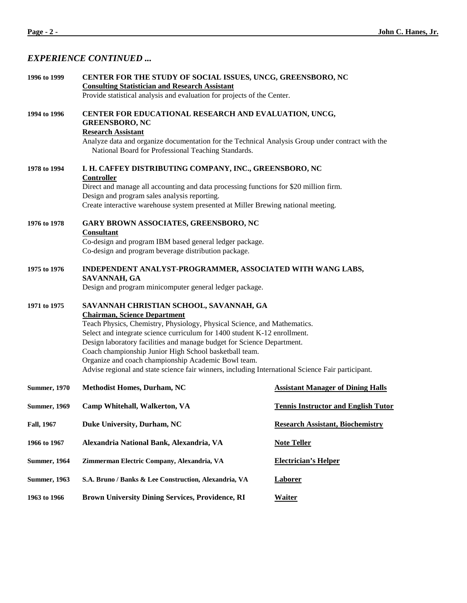# *EXPERIENCE CONTINUED ...*

| CENTER FOR THE STUDY OF SOCIAL ISSUES, UNCG, GREENSBORO, NC<br>1996 to 1999                                                                                                                                                                                                                                                                                                                                                                                                                                                             |                                                                                                                                                                                                                                                                                                                                                                                                                                                                                                                                                                                                                                                                                                                                                                                                                       |
|-----------------------------------------------------------------------------------------------------------------------------------------------------------------------------------------------------------------------------------------------------------------------------------------------------------------------------------------------------------------------------------------------------------------------------------------------------------------------------------------------------------------------------------------|-----------------------------------------------------------------------------------------------------------------------------------------------------------------------------------------------------------------------------------------------------------------------------------------------------------------------------------------------------------------------------------------------------------------------------------------------------------------------------------------------------------------------------------------------------------------------------------------------------------------------------------------------------------------------------------------------------------------------------------------------------------------------------------------------------------------------|
|                                                                                                                                                                                                                                                                                                                                                                                                                                                                                                                                         |                                                                                                                                                                                                                                                                                                                                                                                                                                                                                                                                                                                                                                                                                                                                                                                                                       |
| <b>GREENSBORO, NC</b>                                                                                                                                                                                                                                                                                                                                                                                                                                                                                                                   |                                                                                                                                                                                                                                                                                                                                                                                                                                                                                                                                                                                                                                                                                                                                                                                                                       |
| National Board for Professional Teaching Standards.                                                                                                                                                                                                                                                                                                                                                                                                                                                                                     |                                                                                                                                                                                                                                                                                                                                                                                                                                                                                                                                                                                                                                                                                                                                                                                                                       |
| <b>Controller</b>                                                                                                                                                                                                                                                                                                                                                                                                                                                                                                                       |                                                                                                                                                                                                                                                                                                                                                                                                                                                                                                                                                                                                                                                                                                                                                                                                                       |
|                                                                                                                                                                                                                                                                                                                                                                                                                                                                                                                                         |                                                                                                                                                                                                                                                                                                                                                                                                                                                                                                                                                                                                                                                                                                                                                                                                                       |
|                                                                                                                                                                                                                                                                                                                                                                                                                                                                                                                                         |                                                                                                                                                                                                                                                                                                                                                                                                                                                                                                                                                                                                                                                                                                                                                                                                                       |
| GARY BROWN ASSOCIATES, GREENSBORO, NC                                                                                                                                                                                                                                                                                                                                                                                                                                                                                                   |                                                                                                                                                                                                                                                                                                                                                                                                                                                                                                                                                                                                                                                                                                                                                                                                                       |
|                                                                                                                                                                                                                                                                                                                                                                                                                                                                                                                                         |                                                                                                                                                                                                                                                                                                                                                                                                                                                                                                                                                                                                                                                                                                                                                                                                                       |
| Co-design and program beverage distribution package.                                                                                                                                                                                                                                                                                                                                                                                                                                                                                    |                                                                                                                                                                                                                                                                                                                                                                                                                                                                                                                                                                                                                                                                                                                                                                                                                       |
| SAVANNAH, GA                                                                                                                                                                                                                                                                                                                                                                                                                                                                                                                            |                                                                                                                                                                                                                                                                                                                                                                                                                                                                                                                                                                                                                                                                                                                                                                                                                       |
|                                                                                                                                                                                                                                                                                                                                                                                                                                                                                                                                         |                                                                                                                                                                                                                                                                                                                                                                                                                                                                                                                                                                                                                                                                                                                                                                                                                       |
| SAVANNAH CHRISTIAN SCHOOL, SAVANNAH, GA<br><b>Chairman, Science Department</b><br>Teach Physics, Chemistry, Physiology, Physical Science, and Mathematics.<br>Select and integrate science curriculum for 1400 student K-12 enrollment.<br>Design laboratory facilities and manage budget for Science Department.<br>Coach championship Junior High School basketball team.<br>Organize and coach championship Academic Bowl team.<br>Advise regional and state science fair winners, including International Science Fair participant. |                                                                                                                                                                                                                                                                                                                                                                                                                                                                                                                                                                                                                                                                                                                                                                                                                       |
| <b>Methodist Homes, Durham, NC</b>                                                                                                                                                                                                                                                                                                                                                                                                                                                                                                      | <b>Assistant Manager of Dining Halls</b>                                                                                                                                                                                                                                                                                                                                                                                                                                                                                                                                                                                                                                                                                                                                                                              |
| Camp Whitehall, Walkerton, VA                                                                                                                                                                                                                                                                                                                                                                                                                                                                                                           | <b>Tennis Instructor and English Tutor</b>                                                                                                                                                                                                                                                                                                                                                                                                                                                                                                                                                                                                                                                                                                                                                                            |
| Duke University, Durham, NC                                                                                                                                                                                                                                                                                                                                                                                                                                                                                                             | <b>Research Assistant, Biochemistry</b>                                                                                                                                                                                                                                                                                                                                                                                                                                                                                                                                                                                                                                                                                                                                                                               |
| Alexandria National Bank, Alexandria, VA                                                                                                                                                                                                                                                                                                                                                                                                                                                                                                | <b>Note Teller</b>                                                                                                                                                                                                                                                                                                                                                                                                                                                                                                                                                                                                                                                                                                                                                                                                    |
| Zimmerman Electric Company, Alexandria, VA                                                                                                                                                                                                                                                                                                                                                                                                                                                                                              | <b>Electrician's Helper</b>                                                                                                                                                                                                                                                                                                                                                                                                                                                                                                                                                                                                                                                                                                                                                                                           |
| S.A. Bruno / Banks & Lee Construction, Alexandria, VA                                                                                                                                                                                                                                                                                                                                                                                                                                                                                   | <b>Laborer</b>                                                                                                                                                                                                                                                                                                                                                                                                                                                                                                                                                                                                                                                                                                                                                                                                        |
| <b>Brown University Dining Services, Providence, RI</b>                                                                                                                                                                                                                                                                                                                                                                                                                                                                                 | <b>Waiter</b>                                                                                                                                                                                                                                                                                                                                                                                                                                                                                                                                                                                                                                                                                                                                                                                                         |
|                                                                                                                                                                                                                                                                                                                                                                                                                                                                                                                                         | <b>Consulting Statistician and Research Assistant</b><br>Provide statistical analysis and evaluation for projects of the Center.<br>CENTER FOR EDUCATIONAL RESEARCH AND EVALUATION, UNCG,<br><b>Research Assistant</b><br>Analyze data and organize documentation for the Technical Analysis Group under contract with the<br>I. H. CAFFEY DISTRIBUTING COMPANY, INC., GREENSBORO, NC<br>Direct and manage all accounting and data processing functions for \$20 million firm.<br>Design and program sales analysis reporting.<br>Create interactive warehouse system presented at Miller Brewing national meeting.<br>Consultant<br>Co-design and program IBM based general ledger package.<br>INDEPENDENT ANALYST-PROGRAMMER, ASSOCIATED WITH WANG LABS,<br>Design and program minicomputer general ledger package. |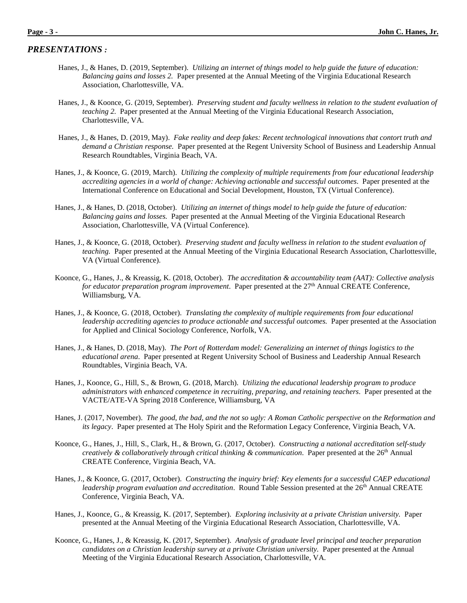#### *PRESENTATIONS :*

- Hanes, J., & Hanes, D. (2019, September). *Utilizing an internet of things model to help guide the future of education: Balancing gains and losses 2.* Paper presented at the Annual Meeting of the Virginia Educational Research Association, Charlottesville, VA.
- Hanes, J., & Koonce, G. (2019, September). *Preserving student and faculty wellness in relation to the student evaluation of teaching 2.* Paper presented at the Annual Meeting of the Virginia Educational Research Association, Charlottesville, VA.
- Hanes, J., & Hanes, D. (2019, May). *Fake reality and deep fakes: Recent technological innovations that contort truth and demand a Christian response.* Paper presented at the Regent University School of Business and Leadership Annual Research Roundtables, Virginia Beach, VA.
- Hanes, J., & Koonce, G. (2019, March). *Utilizing the complexity of multiple requirements from four educational leadership accrediting agencies in a world of change: Achieving actionable and successful outcomes*. Paper presented at the International Conference on Educational and Social Development, Houston, TX (Virtual Conference).
- Hanes, J., & Hanes, D. (2018, October). *Utilizing an internet of things model to help guide the future of education: Balancing gains and losses.* Paper presented at the Annual Meeting of the Virginia Educational Research Association, Charlottesville, VA (Virtual Conference).
- Hanes, J., & Koonce, G. (2018, October). *Preserving student and faculty wellness in relation to the student evaluation of teaching.* Paper presented at the Annual Meeting of the Virginia Educational Research Association, Charlottesville, VA (Virtual Conference).
- Koonce, G., Hanes, J., & Kreassig, K. (2018, October). *The accreditation & accountability team (AAT): Collective analysis for educator preparation program improvement.* Paper presented at the 27<sup>th</sup> Annual CREATE Conference, Williamsburg, VA.
- Hanes, J., & Koonce, G. (2018, October). *Translating the complexity of multiple requirements from four educational leadership accrediting agencies to produce actionable and successful outcomes.* Paper presented at the Association for Applied and Clinical Sociology Conference, Norfolk, VA.
- Hanes, J., & Hanes, D. (2018, May). *The Port of Rotterdam model: Generalizing an internet of things logistics to the educational arena*. Paper presented at Regent University School of Business and Leadership Annual Research Roundtables, Virginia Beach, VA.
- Hanes, J., Koonce, G., Hill, S., & Brown, G. (2018, March). *Utilizing the educational leadership program to produce administrators with enhanced competence in recruiting, preparing, and retaining teachers*. Paper presented at the VACTE/ATE-VA Spring 2018 Conference, Williamsburg, VA
- Hanes, J. (2017, November). *The good, the bad, and the not so ugly: A Roman Catholic perspective on the Reformation and its legacy*. Paper presented at The Holy Spirit and the Reformation Legacy Conference, Virginia Beach, VA.
- Koonce, G., Hanes, J., Hill, S., Clark, H., & Brown, G. (2017, October). *Constructing a national accreditation self-study creatively & collaboratively through critical thinking & communication*. Paper presented at the 26<sup>th</sup> Annual CREATE Conference, Virginia Beach, VA.
- Hanes, J., & Koonce, G. (2017, October). *Constructing the inquiry brief: Key elements for a successful CAEP educational leadership program evaluation and accreditation*. Round Table Session presented at the 26<sup>th</sup> Annual CREATE Conference, Virginia Beach, VA.
- Hanes, J., Koonce, G., & Kreassig, K. (2017, September). *Exploring inclusivity at a private Christian university.* Paper presented at the Annual Meeting of the Virginia Educational Research Association, Charlottesville, VA.
- Koonce, G., Hanes, J., & Kreassig, K. (2017, September). *Analysis of graduate level principal and teacher preparation candidates on a Christian leadership survey at a private Christian university.* Paper presented at the Annual Meeting of the Virginia Educational Research Association, Charlottesville, VA.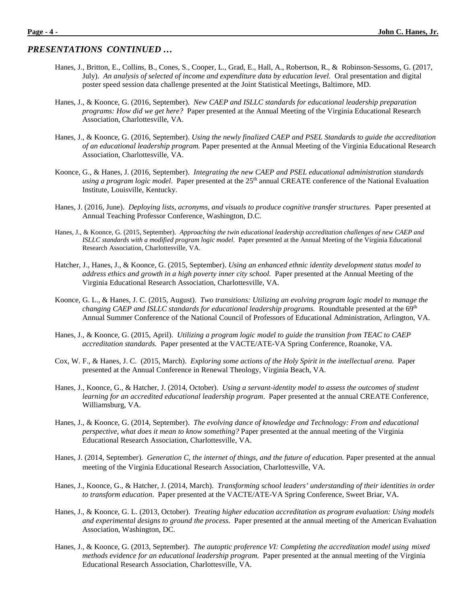- Hanes, J., Britton, E., Collins, B., Cones, S., Cooper, L., Grad, E., Hall, A., Robertson, R., & Robinson-Sessoms, G. (2017, July). *An analysis of selected of income and expenditure data by education level.* Oral presentation and digital poster speed session data challenge presented at the Joint Statistical Meetings, Baltimore, MD.
- Hanes, J., & Koonce, G. (2016, September). *New CAEP and ISLLC standards for educational leadership preparation programs: How did we get here?* Paper presented at the Annual Meeting of the Virginia Educational Research Association, Charlottesville, VA.
- Hanes, J., & Koonce, G. (2016, September). *Using the newly finalized CAEP and PSEL Standards to guide the accreditation of an educational leadership program.* Paper presented at the Annual Meeting of the Virginia Educational Research Association, Charlottesville, VA.
- Koonce, G., & Hanes, J. (2016, September). *Integrating the new CAEP and PSEL educational administration standards using a program logic model*. Paper presented at the 25th annual CREATE conference of the National Evaluation Institute, Louisville, Kentucky.
- Hanes, J. (2016, June). *Deploying lists, acronyms, and visuals to produce cognitive transfer structures.* Paper presented at Annual Teaching Professor Conference, Washington, D.C.
- Hanes, J., & Koonce, G. (2015, September). *Approaching the twin educational leadership accreditation challenges of new CAEP and ISLLC standards with a modified program logic model*.Paper presented at the Annual Meeting of the Virginia Educational Research Association, Charlottesville, VA.
- Hatcher, J., Hanes, J., & Koonce, G. (2015, September). *Using an enhanced ethnic identity development status model to address ethics and growth in a high poverty inner city school.* Paper presented at the Annual Meeting of the Virginia Educational Research Association, Charlottesville, VA.
- Koonce, G. L., & Hanes, J. C. (2015, August). *Two transitions: Utilizing an evolving program logic model to manage the changing CAEP and ISLLC standards for educational leadership programs.* Roundtable presented at the 69th Annual Summer Conference of the National Council of Professors of Educational Administration, Arlington, VA.
- Hanes, J., & Koonce, G. (2015, April). *Utilizing a program logic model to guide the transition from TEAC to CAEP accreditation standards.* Paper presented at the VACTE/ATE-VA Spring Conference, Roanoke, VA.
- Cox, W. F., & Hanes, J. C. (2015, March). *Exploring some actions of the Holy Spirit in the intellectual arena.* Paper presented at the Annual Conference in Renewal Theology, Virginia Beach, VA.
- Hanes, J., Koonce, G., & Hatcher, J. (2014, October). *Using a servant-identity model to assess the outcomes of student learning for an accredited educational leadership program*. Paper presented at the annual CREATE Conference, Williamsburg, VA.
- Hanes, J., & Koonce, G. (2014, September). *The evolving dance of knowledge and Technology: From and educational perspective, what does it mean to know something?* Paper presented at the annual meeting of the Virginia Educational Research Association, Charlottesville, VA.
- Hanes, J. (2014, September). *Generation C, the internet of things, and the future of education.* Paper presented at the annual meeting of the Virginia Educational Research Association, Charlottesville, VA.
- Hanes, J., Koonce, G., & Hatcher, J. (2014, March). *Transforming school leaders' understanding of their identities in order to transform education*. Paper presented at the VACTE/ATE-VA Spring Conference, Sweet Briar, VA.
- Hanes, J., & Koonce, G. L. (2013, October). *Treating higher education accreditation as program evaluation: Using models and experimental designs to ground the process*. Paper presented at the annual meeting of the American Evaluation Association, Washington, DC.
- Hanes, J., & Koonce, G. (2013, September). *The autoptic proference VI: Completing the accreditation model using mixed methods evidence for an educational leadership program.* Paper presented at the annual meeting of the Virginia Educational Research Association, Charlottesville, VA.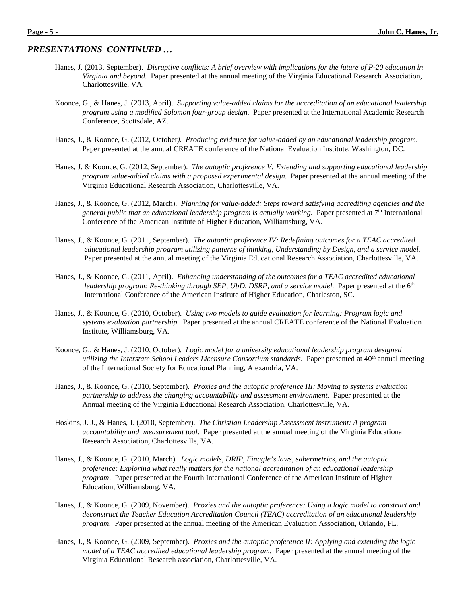- Hanes, J. (2013, September). *Disruptive conflicts: A brief overview with implications for the future of P-20 education in Virginia and beyond.* Paper presented at the annual meeting of the Virginia Educational Research Association, Charlottesville, VA.
- Koonce, G., & Hanes, J. (2013, April). *Supporting value-added claims for the accreditation of an educational leadership program using a modified Solomon four-group design.* Paper presented at the International Academic Research Conference, Scottsdale, AZ.
- Hanes, J., & Koonce, G. (2012, October*). Producing evidence for value-added by an educational leadership program*. Paper presented at the annual CREATE conference of the National Evaluation Institute, Washington, DC.
- Hanes, J. & Koonce, G. (2012, September). *The autoptic proference V: Extending and supporting educational leadership program value-added claims with a proposed experimental design.* Paper presented at the annual meeting of the Virginia Educational Research Association, Charlottesville, VA.
- Hanes, J., & Koonce, G. (2012, March). *Planning for value-added: Steps toward satisfying accrediting agencies and the general public that an educational leadership program is actually working.* Paper presented at 7th International Conference of the American Institute of Higher Education, Williamsburg, VA.
- Hanes, J., & Koonce, G. (2011, September). *The autoptic proference IV: Redefining outcomes for a TEAC accredited educational leadership program utilizing patterns of thinking, Understanding by Design, and a service model.* Paper presented at the annual meeting of the Virginia Educational Research Association, Charlottesville, VA.
- Hanes, J., & Koonce, G. (2011, April). *Enhancing understanding of the outcomes for a TEAC accredited educational leadership program: Re-thinking through SEP, UbD, DSRP, and a service model.* Paper presented at the 6<sup>th</sup> International Conference of the American Institute of Higher Education, Charleston, SC.
- Hanes, J., & Koonce, G. (2010, October). *Using two models to guide evaluation for learning: Program logic and systems evaluation partnership*. Paper presented at the annual CREATE conference of the National Evaluation Institute, Williamsburg, VA.
- Koonce, G., & Hanes, J. (2010, October). *Logic model for a university educational leadership program designed utilizing the Interstate School Leaders Licensure Consortium standards*. Paper presented at 40<sup>th</sup> annual meeting of the International Society for Educational Planning, Alexandria, VA.
- Hanes, J., & Koonce, G. (2010, September). *Proxies and the autoptic proference III: Moving to systems evaluation partnership to address the changing accountability and assessment environment*. Paper presented at the Annual meeting of the Virginia Educational Research Association, Charlottesville, VA.
- Hoskins, J. J., & Hanes, J. (2010, September). *The Christian Leadership Assessment instrument: A program accountability and measurement tool*. Paper presented at the annual meeting of the Virginia Educational Research Association, Charlottesville, VA.
- Hanes, J., & Koonce, G. (2010, March). *Logic models, DRIP, Finagle's laws, sabermetrics, and the autoptic proference: Exploring what really matters for the national accreditation of an educational leadership program*. Paper presented at the Fourth International Conference of the American Institute of Higher Education, Williamsburg, VA.
- Hanes, J., & Koonce, G. (2009, November). *Proxies and the autoptic proference: Using a logic model to construct and deconstruct the Teacher Education Accreditation Council (TEAC) accreditation of an educational leadership program*. Paper presented at the annual meeting of the American Evaluation Association, Orlando, FL.
- Hanes, J., & Koonce, G. (2009, September). *Proxies and the autoptic proference II: Applying and extending the logic model of a TEAC accredited educational leadership program.* Paper presented at the annual meeting of the Virginia Educational Research association, Charlottesville, VA.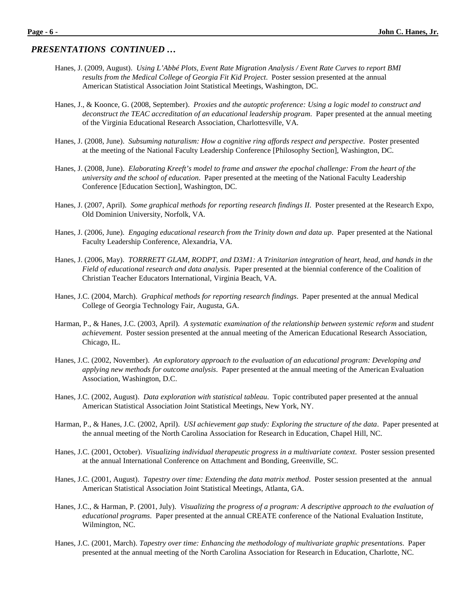- Hanes, J. (2009, August). *Using L'Abbé Plots, Event Rate Migration Analysis / Event Rate Curves to report BMI results from the Medical College of Georgia Fit Kid Project*. Poster session presented at the annual American Statistical Association Joint Statistical Meetings, Washington, DC.
- Hanes, J., & Koonce, G. (2008, September). *Proxies and the autoptic proference: Using a logic model to construct and deconstruct the TEAC accreditation of an educational leadership program*. Paper presented at the annual meeting of the Virginia Educational Research Association, Charlottesville, VA.
- Hanes, J. (2008, June). *Subsuming naturalism: How a cognitive ring affords respect and perspective*. Poster presented at the meeting of the National Faculty Leadership Conference [Philosophy Section], Washington, DC.
- Hanes, J. (2008, June). *Elaborating Kreeft's model to frame and answer the epochal challenge: From the heart of the university and the school of education*. Paper presented at the meeting of the National Faculty Leadership Conference [Education Section], Washington, DC.
- Hanes, J. (2007, April). *Some graphical methods for reporting research findings II*. Poster presented at the Research Expo, Old Dominion University, Norfolk, VA.
- Hanes, J. (2006, June). *Engaging educational research from the Trinity down and data up*. Paper presented at the National Faculty Leadership Conference, Alexandria, VA.
- Hanes, J. (2006, May). *TORRRETT GLAM, RODPT, and D3M1: A Trinitarian integration of heart, head, and hands in the Field of educational research and data analysis*. Paper presented at the biennial conference of the Coalition of Christian Teacher Educators International, Virginia Beach, VA.
- Hanes, J.C. (2004, March). *Graphical methods for reporting research findings*. Paper presented at the annual Medical College of Georgia Technology Fair, Augusta, GA.
- Harman, P., & Hanes, J.C. (2003, April). A systematic examination of the relationship between systemic reform and student *achievement*. Poster session presented at the annual meeting of the American Educational Research Association, Chicago, IL.
- Hanes, J.C. (2002, November). *An exploratory approach to the evaluation of an educational program: Developing and applying new methods for outcome analysis*. Paper presented at the annual meeting of the American Evaluation Association, Washington, D.C.
- Hanes, J.C. (2002, August). *Data exploration with statistical tableau*. Topic contributed paper presented at the annual American Statistical Association Joint Statistical Meetings, New York, NY.
- Harman, P., & Hanes, J.C. (2002, April). *USI achievement gap study: Exploring the structure of the data*. Paper presented at the annual meeting of the North Carolina Association for Research in Education, Chapel Hill, NC.
- Hanes, J.C. (2001, October). *Visualizing individual therapeutic progress in a multivariate context*. Poster session presented at the annual International Conference on Attachment and Bonding, Greenville, SC.
- Hanes, J.C. (2001, August). *Tapestry over time: Extending the data matrix method*. Poster session presented at the annual American Statistical Association Joint Statistical Meetings, Atlanta, GA.
- Hanes, J.C., & Harman, P. (2001, July). *Visualizing the progress of a program: A descriptive approach to the evaluation of educational programs*. Paper presented at the annual CREATE conference of the National Evaluation Institute, Wilmington, NC.
- Hanes, J.C. (2001, March). *Tapestry over time: Enhancing the methodology of multivariate graphic presentations*. Paper presented at the annual meeting of the North Carolina Association for Research in Education, Charlotte, NC.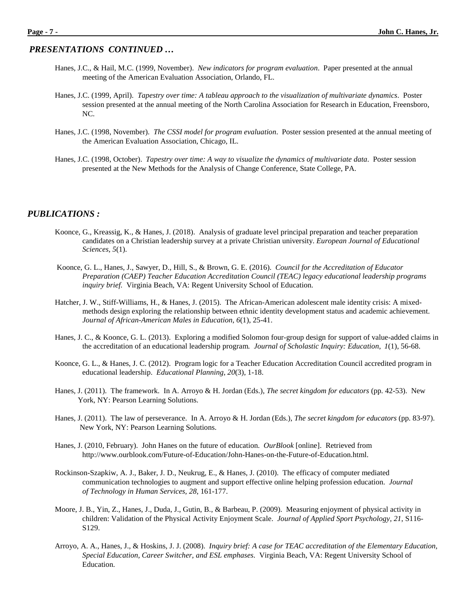- Hanes, J.C., & Hail, M.C. (1999, November). *New indicators for program evaluation*. Paper presented at the annual meeting of the American Evaluation Association, Orlando, FL.
- Hanes, J.C. (1999, April). *Tapestry over time: A tableau approach to the visualization of multivariate dynamics*. Poster session presented at the annual meeting of the North Carolina Association for Research in Education, Freensboro, NC.
- Hanes, J.C. (1998, November). *The CSSI model for program evaluation*. Poster session presented at the annual meeting of the American Evaluation Association, Chicago, IL.
- Hanes, J.C. (1998, October). *Tapestry over time: A way to visualize the dynamics of multivariate data*. Poster session presented at the New Methods for the Analysis of Change Conference, State College, PA.

#### *PUBLICATIONS :*

- Koonce, G., Kreassig, K., & Hanes, J. (2018). Analysis of graduate level principal preparation and teacher preparation candidates on a Christian leadership survey at a private Christian university. *European Journal of Educational Sciences, 5*(1).
- Koonce, G. L., Hanes, J., Sawyer, D., Hill, S., & Brown, G. E. (2016). *Council for the Accreditation of Educator Preparation (CAEP) Teacher Education Accreditation Council (TEAC) legacy educational leadership programs inquiry brief.* Virginia Beach, VA: Regent University School of Education.
- Hatcher, J. W., Stiff-Williams, H., & Hanes, J. (2015). The African-American adolescent male identity crisis: A mixedmethods design exploring the relationship between ethnic identity development status and academic achievement. *Journal of African-American Males in Education*, *6*(1), 25-41.
- Hanes, J. C., & Koonce, G. L. (2013). Exploring a modified Solomon four-group design for support of value-added claims in the accreditation of an educational leadership program*. Journal of Scholastic Inquiry: Education*, *1*(1), 56-68.
- Koonce, G. L., & Hanes, J. C. (2012). Program logic for a Teacher Education Accreditation Council accredited program in educational leadership. *Educational Planning, 20*(3), 1-18.
- Hanes, J. (2011). The framework. In A. Arroyo & H. Jordan (Eds.), *The secret kingdom for educators* (pp. 42-53). New York, NY: Pearson Learning Solutions.
- Hanes, J. (2011). The law of perseverance. In A. Arroyo & H. Jordan (Eds.), *The secret kingdom for educators* (pp. 83-97). New York, NY: Pearson Learning Solutions.
- Hanes, J. (2010, February). John Hanes on the future of education. *OurBlook* [online]. Retrieved from http://www.ourblook.com/Future-of-Education/John-Hanes-on-the-Future-of-Education.html.
- Rockinson-Szapkiw, A. J., Baker, J. D., Neukrug, E., & Hanes, J. (2010). The efficacy of computer mediated communication technologies to augment and support effective online helping profession education. *Journal of Technology in Human Services, 28*, 161-177.
- Moore, J. B., Yin, Z., Hanes, J., Duda, J., Gutin, B., & Barbeau, P. (2009). Measuring enjoyment of physical activity in children: Validation of the Physical Activity Enjoyment Scale. *Journal of Applied Sport Psychology, 21*, S116- S129.
- Arroyo, A. A., Hanes, J., & Hoskins, J. J. (2008). *Inquiry brief: A case for TEAC accreditation of the Elementary Education, Special Education, Career Switcher, and ESL emphases*. Virginia Beach, VA: Regent University School of Education.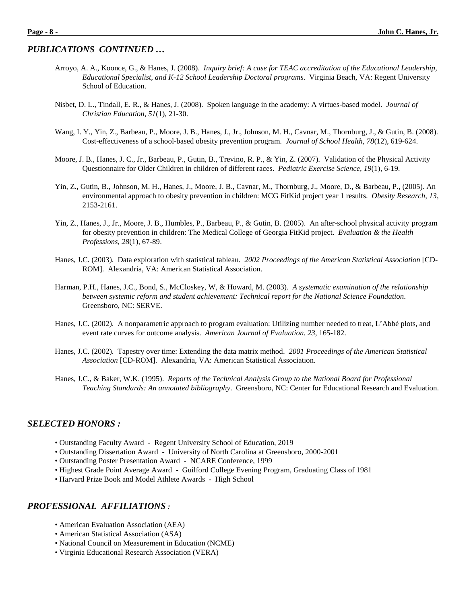#### *PUBLICATIONS CONTINUED …*

- Arroyo, A. A., Koonce, G., & Hanes, J. (2008). *Inquiry brief: A case for TEAC accreditation of the Educational Leadership, Educational Specialist, and K-12 School Leadership Doctoral programs*. Virginia Beach, VA: Regent University School of Education.
- Nisbet, D. L., Tindall, E. R., & Hanes, J. (2008). Spoken language in the academy: A virtues-based model. *Journal of Christian Education*, *51*(1), 21-30.
- Wang, I. Y., Yin, Z., Barbeau, P., Moore, J. B., Hanes, J., Jr., Johnson, M. H., Cavnar, M., Thornburg, J., & Gutin, B. (2008). Cost-effectiveness of a school-based obesity prevention program. *Journal of School Health*, *78*(12), 619-624.
- Moore, J. B., Hanes, J. C., Jr., Barbeau, P., Gutin, B., Trevino, R. P., & Yin, Z. (2007). Validation of the Physical Activity Questionnaire for Older Children in children of different races. *Pediatric Exercise Science, 19*(1)*,* 6-19.
- Yin, Z., Gutin, B., Johnson, M. H., Hanes, J., Moore, J. B., Cavnar, M., Thornburg, J., Moore, D., & Barbeau, P., (2005). An environmental approach to obesity prevention in children: MCG FitKid project year 1 results. *Obesity Research, 13*, 2153-2161.
- Yin, Z., Hanes, J., Jr., Moore, J. B., Humbles, P., Barbeau, P., & Gutin, B. (2005). An after-school physical activity program for obesity prevention in children: The Medical College of Georgia FitKid project. *Evaluation & the Health Professions, 28*(1), 67-89.
- Hanes, J.C. (2003). Data exploration with statistical tableau*. 2002 Proceedings of the American Statistical Association* [CD-ROM]. Alexandria, VA: American Statistical Association.
- Harman, P.H., Hanes, J.C., Bond, S., McCloskey, W, & Howard, M. (2003). *A systematic examination of the relationship between systemic reform and student achievement: Technical report for the National Science Foundation*. Greensboro, NC: SERVE.
- Hanes, J.C. (2002). A nonparametric approach to program evaluation: Utilizing number needed to treat, L'Abbé plots, and event rate curves for outcome analysis. *American Journal of Evaluation*. *23*, 165-182.
- Hanes, J.C. (2002). Tapestry over time: Extending the data matrix method. *2001 Proceedings of the American Statistical Association* [CD-ROM]. Alexandria, VA: American Statistical Association.
- Hanes, J.C., & Baker, W.K. (1995). *Reports of the Technical Analysis Group to the National Board for Professional Teaching Standards: An annotated bibliography*. Greensboro, NC: Center for Educational Research and Evaluation.

#### *SELECTED HONORS :*

- Outstanding Faculty Award Regent University School of Education, 2019
- Outstanding Dissertation Award University of North Carolina at Greensboro, 2000-2001
- Outstanding Poster Presentation Award NCARE Conference, 1999
- Highest Grade Point Average Award Guilford College Evening Program, Graduating Class of 1981
- Harvard Prize Book and Model Athlete Awards High School

#### *PROFESSIONAL AFFILIATIONS :*

- American Evaluation Association (AEA)
- American Statistical Association (ASA)
- National Council on Measurement in Education (NCME)
- Virginia Educational Research Association (VERA)